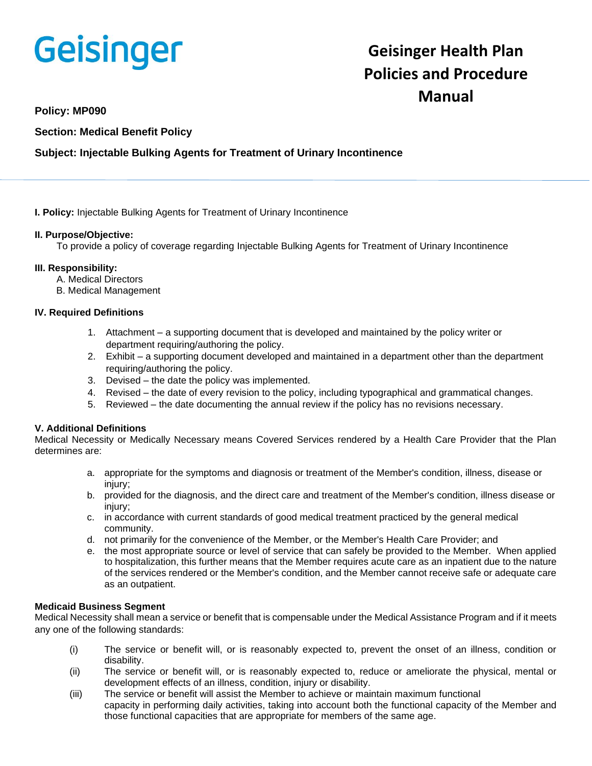# Geisinger

# **Geisinger Health Plan Policies and Procedure Manual**

## **Policy: MP090**

**Section: Medical Benefit Policy**

### **Subject: Injectable Bulking Agents for Treatment of Urinary Incontinence**

**I. Policy:** Injectable Bulking Agents for Treatment of Urinary Incontinence

#### **II. Purpose/Objective:**

To provide a policy of coverage regarding Injectable Bulking Agents for Treatment of Urinary Incontinence

#### **III. Responsibility:**

- A. Medical Directors
- B. Medical Management

#### **IV. Required Definitions**

- 1. Attachment a supporting document that is developed and maintained by the policy writer or department requiring/authoring the policy.
- 2. Exhibit a supporting document developed and maintained in a department other than the department requiring/authoring the policy.
- 3. Devised the date the policy was implemented.
- 4. Revised the date of every revision to the policy, including typographical and grammatical changes.
- 5. Reviewed the date documenting the annual review if the policy has no revisions necessary.

#### **V. Additional Definitions**

Medical Necessity or Medically Necessary means Covered Services rendered by a Health Care Provider that the Plan determines are:

- a. appropriate for the symptoms and diagnosis or treatment of the Member's condition, illness, disease or injury;
- b. provided for the diagnosis, and the direct care and treatment of the Member's condition, illness disease or injury;
- c. in accordance with current standards of good medical treatment practiced by the general medical community.
- d. not primarily for the convenience of the Member, or the Member's Health Care Provider; and
- e. the most appropriate source or level of service that can safely be provided to the Member. When applied to hospitalization, this further means that the Member requires acute care as an inpatient due to the nature of the services rendered or the Member's condition, and the Member cannot receive safe or adequate care as an outpatient.

#### **Medicaid Business Segment**

Medical Necessity shall mean a service or benefit that is compensable under the Medical Assistance Program and if it meets any one of the following standards:

- (i) The service or benefit will, or is reasonably expected to, prevent the onset of an illness, condition or disability.
- (ii) The service or benefit will, or is reasonably expected to, reduce or ameliorate the physical, mental or development effects of an illness, condition, injury or disability.
- (iii) The service or benefit will assist the Member to achieve or maintain maximum functional capacity in performing daily activities, taking into account both the functional capacity of the Member and those functional capacities that are appropriate for members of the same age.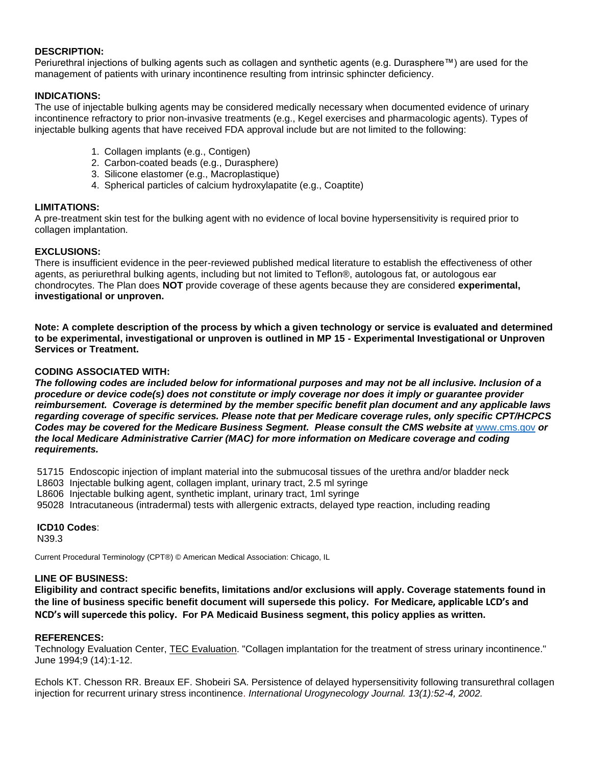#### **DESCRIPTION:**

Periurethral injections of bulking agents such as collagen and synthetic agents (e.g. Durasphere™) are used for the management of patients with urinary incontinence resulting from intrinsic sphincter deficiency.

#### **INDICATIONS:**

The use of injectable bulking agents may be considered medically necessary when documented evidence of urinary incontinence refractory to prior non-invasive treatments (e.g., Kegel exercises and pharmacologic agents). Types of injectable bulking agents that have received FDA approval include but are not limited to the following:

- 1. Collagen implants (e.g., Contigen)
- 2. Carbon-coated beads (e.g., Durasphere)
- 3. Silicone elastomer (e.g., Macroplastique)
- 4. Spherical particles of calcium hydroxylapatite (e.g., Coaptite)

#### **LIMITATIONS:**

A pre-treatment skin test for the bulking agent with no evidence of local bovine hypersensitivity is required prior to collagen implantation.

#### **EXCLUSIONS:**

There is insufficient evidence in the peer-reviewed published medical literature to establish the effectiveness of other agents, as periurethral bulking agents, including but not limited to Teflon®, autologous fat, or autologous ear chondrocytes. The Plan does **NOT** provide coverage of these agents because they are considered **experimental, investigational or unproven.**

**Note: A complete description of the process by which a given technology or service is evaluated and determined to be experimental, investigational or unproven is outlined in MP 15 - Experimental Investigational or Unproven Services or Treatment.**

#### **CODING ASSOCIATED WITH:**

*The following codes are included below for informational purposes and may not be all inclusive. Inclusion of a procedure or device code(s) does not constitute or imply coverage nor does it imply or guarantee provider reimbursement. Coverage is determined by the member specific benefit plan document and any applicable laws regarding coverage of specific services. Please note that per Medicare coverage rules, only specific CPT/HCPCS Codes may be covered for the Medicare Business Segment. Please consult the CMS website at* [www.cms.gov](http://www.cms.gov/) *or the local Medicare Administrative Carrier (MAC) for more information on Medicare coverage and coding requirements.*

51715 Endoscopic injection of implant material into the submucosal tissues of the urethra and/or bladder neck

- L8603 Injectable bulking agent, collagen implant, urinary tract, 2.5 ml syringe
- L8606 Injectable bulking agent, synthetic implant, urinary tract, 1ml syringe
- 95028 Intracutaneous (intradermal) tests with allergenic extracts, delayed type reaction, including reading

#### **ICD10 Codes**:

N39.3

Current Procedural Terminology (CPT®) © American Medical Association: Chicago, IL

#### **LINE OF BUSINESS:**

**Eligibility and contract specific benefits, limitations and/or exclusions will apply. Coverage statements found in the line of business specific benefit document will supersede this policy. For Medicare, applicable LCD's and NCD's will supercede this policy. For PA Medicaid Business segment, this policy applies as written.**

#### **REFERENCES:**

Technology Evaluation Center, TEC Evaluation. "Collagen implantation for the treatment of stress urinary incontinence." June 1994;9 (14):1-12.

Echols KT. Chesson RR. Breaux EF. Shobeiri SA. Persistence of delayed hypersensitivity following transurethral collagen injection for recurrent urinary stress incontinence. *International Urogynecology Journal. 13(1):52-4, 2002.*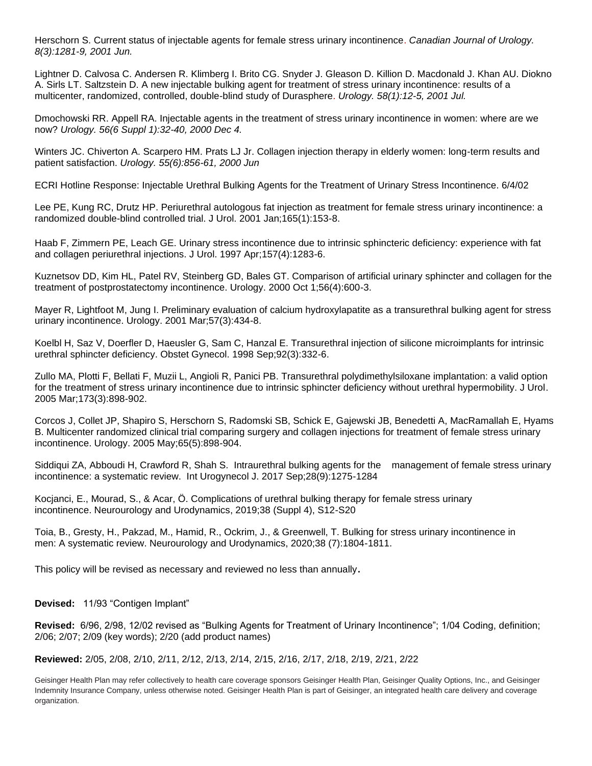Herschorn S. Current status of injectable agents for female stress urinary incontinence. *Canadian Journal of Urology. 8(3):1281-9, 2001 Jun.*

Lightner D. Calvosa C. Andersen R. Klimberg I. Brito CG. Snyder J. Gleason D. Killion D. Macdonald J. Khan AU. Diokno A. Sirls LT. Saltzstein D. A new injectable bulking agent for treatment of stress urinary incontinence: results of a multicenter, randomized, controlled, double-blind study of Durasphere. *Urology. 58(1):12-5, 2001 Jul.*

Dmochowski RR. Appell RA. Injectable agents in the treatment of stress urinary incontinence in women: where are we now? *Urology. 56(6 Suppl 1):32-40, 2000 Dec 4.*

Winters JC. Chiverton A. Scarpero HM. Prats LJ Jr. Collagen injection therapy in elderly women: long-term results and patient satisfaction. *Urology. 55(6):856-61, 2000 Jun*

ECRI Hotline Response: Injectable Urethral Bulking Agents for the Treatment of Urinary Stress Incontinence. 6/4/02

[Lee PE,](http://www.ncbi.nlm.nih.gov/entrez/query.fcgi?db=pubmed&cmd=Search&itool=pubmed_Abstract&term=%22Lee+PE%22%5BAuthor%5D) [Kung RC,](http://www.ncbi.nlm.nih.gov/entrez/query.fcgi?db=pubmed&cmd=Search&itool=pubmed_Abstract&term=%22Kung+RC%22%5BAuthor%5D) [Drutz HP.](http://www.ncbi.nlm.nih.gov/entrez/query.fcgi?db=pubmed&cmd=Search&itool=pubmed_Abstract&term=%22Drutz+HP%22%5BAuthor%5D) Periurethral autologous fat injection as treatment for female stress urinary incontinence: a randomized double-blind controlled trial. J Urol. 2001 Jan;165(1):153-8.

[Haab F,](http://www.ncbi.nlm.nih.gov/entrez/query.fcgi?db=pubmed&cmd=Search&itool=pubmed_Abstract&term=%22Haab+F%22%5BAuthor%5D) [Zimmern PE,](http://www.ncbi.nlm.nih.gov/entrez/query.fcgi?db=pubmed&cmd=Search&itool=pubmed_Abstract&term=%22Zimmern+PE%22%5BAuthor%5D) [Leach GE.](http://www.ncbi.nlm.nih.gov/entrez/query.fcgi?db=pubmed&cmd=Search&itool=pubmed_Abstract&term=%22Leach+GE%22%5BAuthor%5D) Urinary stress incontinence due to intrinsic sphincteric deficiency: experience with fat and collagen periurethral injections. J Urol. 1997 Apr;157(4):1283-6.

[Kuznetsov DD,](http://www.ncbi.nlm.nih.gov/entrez/query.fcgi?db=pubmed&cmd=Search&itool=pubmed_Abstract&term=%22Kuznetsov+DD%22%5BAuthor%5D) [Kim HL,](http://www.ncbi.nlm.nih.gov/entrez/query.fcgi?db=pubmed&cmd=Search&itool=pubmed_Abstract&term=%22Kim+HL%22%5BAuthor%5D) [Patel RV,](http://www.ncbi.nlm.nih.gov/entrez/query.fcgi?db=pubmed&cmd=Search&itool=pubmed_Abstract&term=%22Patel+RV%22%5BAuthor%5D) [Steinberg GD,](http://www.ncbi.nlm.nih.gov/entrez/query.fcgi?db=pubmed&cmd=Search&itool=pubmed_Abstract&term=%22Steinberg+GD%22%5BAuthor%5D) [Bales GT.](http://www.ncbi.nlm.nih.gov/entrez/query.fcgi?db=pubmed&cmd=Search&itool=pubmed_Abstract&term=%22Bales+GT%22%5BAuthor%5D) Comparison of artificial urinary sphincter and collagen for the treatment of postprostatectomy incontinence. Urology. 2000 Oct 1;56(4):600-3.

[Mayer R,](http://www.ncbi.nlm.nih.gov/entrez/query.fcgi?db=pubmed&cmd=Search&itool=pubmed_Abstract&term=%22Mayer+R%22%5BAuthor%5D) [Lightfoot M,](http://www.ncbi.nlm.nih.gov/entrez/query.fcgi?db=pubmed&cmd=Search&itool=pubmed_Abstract&term=%22Lightfoot+M%22%5BAuthor%5D) [Jung I.](http://www.ncbi.nlm.nih.gov/entrez/query.fcgi?db=pubmed&cmd=Search&itool=pubmed_Abstract&term=%22Jung+I%22%5BAuthor%5D) Preliminary evaluation of calcium hydroxylapatite as a transurethral bulking agent for stress urinary incontinence. Urology. 2001 Mar;57(3):434-8.

[Koelbl H,](http://www.ncbi.nlm.nih.gov/entrez/query.fcgi?db=pubmed&cmd=Search&itool=pubmed_Abstract&term=%22Koelbl+H%22%5BAuthor%5D) [Saz V,](http://www.ncbi.nlm.nih.gov/entrez/query.fcgi?db=pubmed&cmd=Search&itool=pubmed_Abstract&term=%22Saz+V%22%5BAuthor%5D) [Doerfler D,](http://www.ncbi.nlm.nih.gov/entrez/query.fcgi?db=pubmed&cmd=Search&itool=pubmed_Abstract&term=%22Doerfler+D%22%5BAuthor%5D) [Haeusler G,](http://www.ncbi.nlm.nih.gov/entrez/query.fcgi?db=pubmed&cmd=Search&itool=pubmed_Abstract&term=%22Haeusler+G%22%5BAuthor%5D) [Sam C,](http://www.ncbi.nlm.nih.gov/entrez/query.fcgi?db=pubmed&cmd=Search&itool=pubmed_Abstract&term=%22Sam+C%22%5BAuthor%5D) [Hanzal E.](http://www.ncbi.nlm.nih.gov/entrez/query.fcgi?db=pubmed&cmd=Search&itool=pubmed_Abstract&term=%22Hanzal+E%22%5BAuthor%5D) Transurethral injection of silicone microimplants for intrinsic urethral sphincter deficiency. Obstet Gynecol. 1998 Sep;92(3):332-6.

[Zullo MA,](http://www.ncbi.nlm.nih.gov/entrez/query.fcgi?db=pubmed&cmd=Search&itool=pubmed_Abstract&term=%22Zullo+MA%22%5BAuthor%5D) [Plotti F,](http://www.ncbi.nlm.nih.gov/entrez/query.fcgi?db=pubmed&cmd=Search&itool=pubmed_Abstract&term=%22Plotti+F%22%5BAuthor%5D) [Bellati F,](http://www.ncbi.nlm.nih.gov/entrez/query.fcgi?db=pubmed&cmd=Search&itool=pubmed_Abstract&term=%22Bellati+F%22%5BAuthor%5D) [Muzii L,](http://www.ncbi.nlm.nih.gov/entrez/query.fcgi?db=pubmed&cmd=Search&itool=pubmed_Abstract&term=%22Muzii+L%22%5BAuthor%5D) [Angioli R,](http://www.ncbi.nlm.nih.gov/entrez/query.fcgi?db=pubmed&cmd=Search&itool=pubmed_Abstract&term=%22Angioli+R%22%5BAuthor%5D) [Panici PB.](http://www.ncbi.nlm.nih.gov/entrez/query.fcgi?db=pubmed&cmd=Search&itool=pubmed_Abstract&term=%22Panici+PB%22%5BAuthor%5D) Transurethral polydimethylsiloxane implantation: a valid option for the treatment of stress urinary incontinence due to intrinsic sphincter deficiency without urethral hypermobility. J Urol. 2005 Mar;173(3):898-902.

[Corcos J,](http://www.ncbi.nlm.nih.gov/entrez/query.fcgi?db=pubmed&cmd=Search&itool=pubmed_Abstract&term=%22Corcos+J%22%5BAuthor%5D) [Collet JP,](http://www.ncbi.nlm.nih.gov/entrez/query.fcgi?db=pubmed&cmd=Search&itool=pubmed_Abstract&term=%22Collet+JP%22%5BAuthor%5D) [Shapiro S,](http://www.ncbi.nlm.nih.gov/entrez/query.fcgi?db=pubmed&cmd=Search&itool=pubmed_Abstract&term=%22Shapiro+S%22%5BAuthor%5D) [Herschorn S,](http://www.ncbi.nlm.nih.gov/entrez/query.fcgi?db=pubmed&cmd=Search&itool=pubmed_Abstract&term=%22Herschorn+S%22%5BAuthor%5D) [Radomski SB,](http://www.ncbi.nlm.nih.gov/entrez/query.fcgi?db=pubmed&cmd=Search&itool=pubmed_Abstract&term=%22Radomski+SB%22%5BAuthor%5D) [Schick E,](http://www.ncbi.nlm.nih.gov/entrez/query.fcgi?db=pubmed&cmd=Search&itool=pubmed_Abstract&term=%22Schick+E%22%5BAuthor%5D) [Gajewski JB,](http://www.ncbi.nlm.nih.gov/entrez/query.fcgi?db=pubmed&cmd=Search&itool=pubmed_Abstract&term=%22Gajewski+JB%22%5BAuthor%5D) [Benedetti A,](http://www.ncbi.nlm.nih.gov/entrez/query.fcgi?db=pubmed&cmd=Search&itool=pubmed_Abstract&term=%22Benedetti+A%22%5BAuthor%5D) [MacRamallah E,](http://www.ncbi.nlm.nih.gov/entrez/query.fcgi?db=pubmed&cmd=Search&itool=pubmed_Abstract&term=%22MacRamallah+E%22%5BAuthor%5D) [Hyams](http://www.ncbi.nlm.nih.gov/entrez/query.fcgi?db=pubmed&cmd=Search&itool=pubmed_Abstract&term=%22Hyams+B%22%5BAuthor%5D)  [B.](http://www.ncbi.nlm.nih.gov/entrez/query.fcgi?db=pubmed&cmd=Search&itool=pubmed_Abstract&term=%22Hyams+B%22%5BAuthor%5D) Multicenter randomized clinical trial comparing surgery and collagen injections for treatment of female stress urinary incontinence. Urology. 2005 May;65(5):898-904.

Siddiqui ZA, Abboudi H, Crawford R, Shah S. Intraurethral bulking agents for the management of female stress urinary incontinence: a systematic review. Int Urogynecol J. 2017 Sep;28(9):1275-1284

Kocjanci, E., Mourad, S., & Acar, Ö. Complications of urethral bulking therapy for female stress urinary incontinence. Neurourology and Urodynamics, 2019;38 (Suppl 4), S12-S20

Toia, B., Gresty, H., Pakzad, M., Hamid, R., Ockrim, J., & Greenwell, T. Bulking for stress urinary incontinence in men: A systematic review. Neurourology and Urodynamics, 2020;38 (7):1804-1811.

This policy will be revised as necessary and reviewed no less than annually.

**Devised:** 11/93 "Contigen Implant"

**Revised:** 6/96, 2/98, 12/02 revised as "Bulking Agents for Treatment of Urinary Incontinence"; 1/04 Coding, definition; 2/06; 2/07; 2/09 (key words); 2/20 (add product names)

**Reviewed:** 2/05, 2/08, 2/10, 2/11, 2/12, 2/13, 2/14, 2/15, 2/16, 2/17, 2/18, 2/19, 2/21, 2/22

Geisinger Health Plan may refer collectively to health care coverage sponsors Geisinger Health Plan, Geisinger Quality Options, Inc., and Geisinger Indemnity Insurance Company, unless otherwise noted. Geisinger Health Plan is part of Geisinger, an integrated health care delivery and coverage organization.